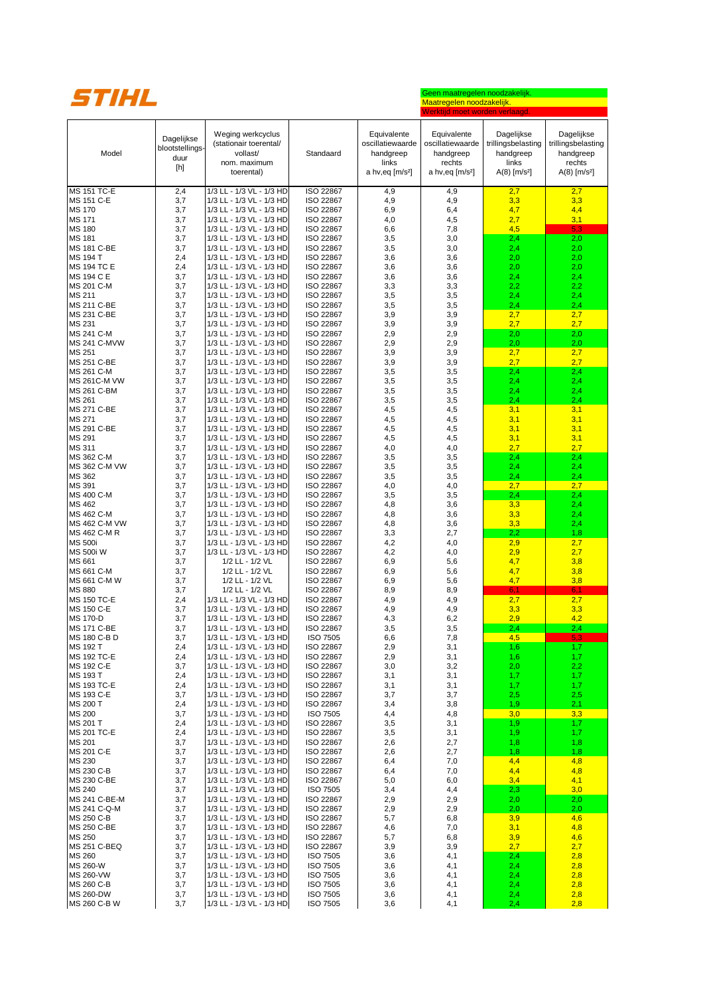

## Geen maatregelen noodzakelijk. Maatregelen noodzakelijk. Werktijd moet worden verlaagd.

| Model                                 | Dagelijkse<br>blootstellings-<br>duur<br>[h] | Weging werkcyclus<br>(stationair toerental/<br>vollast/<br>nom. maximum<br>toerental) | Standaard                          | Equivalente<br>oscillatiewaarde<br>handgreep<br>links<br>a hv, eq $[m/s^2]$ | Equivalente<br>oscillatiewaarde<br>handgreep<br>rechts<br>a hv,eq [m/s <sup>2</sup> ] | Dagelijkse<br>trillingsbelasting<br>handgreep<br>links<br>$A(8)$ [m/s <sup>2</sup> ] | Dagelijkse<br>trillingsbelasting<br>handgreep<br>rechts<br>$A(8)$ [m/s <sup>2</sup> ] |
|---------------------------------------|----------------------------------------------|---------------------------------------------------------------------------------------|------------------------------------|-----------------------------------------------------------------------------|---------------------------------------------------------------------------------------|--------------------------------------------------------------------------------------|---------------------------------------------------------------------------------------|
| <b>MS 151 TC-E</b>                    | 2,4                                          | 1/3 LL - 1/3 VL - 1/3 HD                                                              | ISO 22867                          | 4,9                                                                         | 4,9                                                                                   | 2,7                                                                                  | 2,7                                                                                   |
| MS 151 C-E<br><b>MS 170</b>           | 3,7<br>3,7                                   | 1/3 LL - 1/3 VL - 1/3 HD<br>1/3 LL - 1/3 VL - 1/3 HD                                  | ISO 22867<br>ISO 22867             | 4,9<br>6,9                                                                  | 4,9<br>6,4                                                                            | 3,3<br>4,7                                                                           | 3,3<br>4,4                                                                            |
| <b>MS 171</b>                         | 3,7                                          | 1/3 LL - 1/3 VL - 1/3 HD                                                              | ISO 22867                          | 4,0                                                                         | 4,5                                                                                   | 2,7                                                                                  | 3,1                                                                                   |
| <b>MS 180</b>                         | 3,7                                          | 1/3 LL - 1/3 VL - 1/3 HD                                                              | ISO 22867                          | 6,6                                                                         | 7,8                                                                                   | 4,5                                                                                  | 5,3                                                                                   |
| <b>MS 181</b>                         | 3,7                                          | 1/3 LL - 1/3 VL - 1/3 HD                                                              | ISO 22867                          | 3,5                                                                         | 3,0                                                                                   | 2,4                                                                                  | 2,0                                                                                   |
| <b>MS 181 C-BE</b><br><b>MS 194 T</b> | 3,7<br>2,4                                   | 1/3 LL - 1/3 VL - 1/3 HD<br>1/3 LL - 1/3 VL - 1/3 HD                                  | ISO 22867<br>ISO 22867             | 3,5<br>3,6                                                                  | 3,0<br>3,6                                                                            | 2,4<br>2,0                                                                           | 2,0<br>2,0                                                                            |
| <b>MS 194 TC E</b>                    | 2,4                                          | 1/3 LL - 1/3 VL - 1/3 HD                                                              | ISO 22867                          | 3,6                                                                         | 3,6                                                                                   | 2,0                                                                                  | 2,0                                                                                   |
| <b>MS 194 C E</b>                     | 3,7                                          | 1/3 LL - 1/3 VL - 1/3 HD                                                              | ISO 22867                          | 3,6                                                                         | 3,6                                                                                   | 2,4                                                                                  | 2,4                                                                                   |
| MS 201 C-M                            | 3,7                                          | 1/3 LL - 1/3 VL - 1/3 HD                                                              | ISO 22867                          | 3,3                                                                         | 3,3                                                                                   | 2,2                                                                                  | 2,2                                                                                   |
| MS 211<br>MS 211 C-BE                 | 3,7<br>3,7                                   | 1/3 LL - 1/3 VL - 1/3 HD<br>1/3 LL - 1/3 VL - 1/3 HD                                  | ISO 22867<br>ISO 22867             | 3,5<br>3,5                                                                  | 3,5<br>3,5                                                                            | 2,4<br>2,4                                                                           | 2,4<br>2,4                                                                            |
| MS 231 C-BE                           | 3,7                                          | 1/3 LL - 1/3 VL - 1/3 HD                                                              | ISO 22867                          | 3,9                                                                         | 3,9                                                                                   | 2,7                                                                                  | 2,7                                                                                   |
| MS 231                                | 3,7                                          | 1/3 LL - 1/3 VL - 1/3 HD                                                              | ISO 22867                          | 3,9                                                                         | 3,9                                                                                   | 2,7                                                                                  | 2,7                                                                                   |
| MS 241 C-M                            | 3,7                                          | 1/3 LL - 1/3 VL - 1/3 HD                                                              | ISO 22867                          | 2,9                                                                         | 2,9                                                                                   | 2,0                                                                                  | 2,0                                                                                   |
| <b>MS 241 C-MVW</b>                   | 3,7                                          | 1/3 LL - 1/3 VL - 1/3 HD                                                              | ISO 22867                          | 2,9                                                                         | 2,9                                                                                   | 2,0                                                                                  | 2,0                                                                                   |
| MS 251<br>MS 251 C-BE                 | 3,7<br>3,7                                   | 1/3 LL - 1/3 VL - 1/3 HD<br>1/3 LL - 1/3 VL - 1/3 HD                                  | ISO 22867<br>ISO 22867             | 3,9<br>3,9                                                                  | 3,9<br>3,9                                                                            | 2,7<br>2,7                                                                           | 2,7<br>2,7                                                                            |
| MS 261 C-M                            | 3,7                                          | 1/3 LL - 1/3 VL - 1/3 HD                                                              | ISO 22867                          | 3,5                                                                         | 3,5                                                                                   | 2,4                                                                                  | 2,4                                                                                   |
| <b>MS 261C-M VW</b>                   | 3,7                                          | 1/3 LL - 1/3 VL - 1/3 HD                                                              | ISO 22867                          | 3,5                                                                         | 3,5                                                                                   | 2,4                                                                                  | 2,4                                                                                   |
| MS 261 C-BM                           | 3,7                                          | 1/3 LL - 1/3 VL - 1/3 HD                                                              | ISO 22867                          | 3,5                                                                         | 3,5                                                                                   | 2,4                                                                                  | 2,4                                                                                   |
| MS 261<br>MS 271 C-BE                 | 3,7<br>3,7                                   | 1/3 LL - 1/3 VL - 1/3 HD<br>1/3 LL - 1/3 VL - 1/3 HD                                  | ISO 22867<br>ISO 22867             | 3,5<br>4,5                                                                  | 3,5<br>4,5                                                                            | 2,4<br>3,1                                                                           | 2,4<br>3,1                                                                            |
| <b>MS 271</b>                         | 3,7                                          | 1/3 LL - 1/3 VL - 1/3 HD                                                              | ISO 22867                          | 4,5                                                                         | 4,5                                                                                   | 3,1                                                                                  | 3,1                                                                                   |
| MS 291 C-BE                           | 3,7                                          | 1/3 LL - 1/3 VL - 1/3 HD                                                              | ISO 22867                          | 4,5                                                                         | 4,5                                                                                   | 3,1                                                                                  | 3,1                                                                                   |
| MS 291                                | 3,7                                          | 1/3 LL - 1/3 VL - 1/3 HD                                                              | ISO 22867                          | 4,5                                                                         | 4,5                                                                                   | 3,1                                                                                  | 3,1                                                                                   |
| <b>MS 311</b>                         | 3,7                                          | 1/3 LL - 1/3 VL - 1/3 HD                                                              | ISO 22867                          | 4,0                                                                         | 4,0                                                                                   | 2,7                                                                                  | 2,7                                                                                   |
| MS 362 C-M<br>MS 362 C-M VW           | 3,7<br>3,7                                   | 1/3 LL - 1/3 VL - 1/3 HD<br>1/3 LL - 1/3 VL - 1/3 HD                                  | ISO 22867<br>ISO 22867             | 3,5<br>3,5                                                                  | 3,5<br>3,5                                                                            | 2,4<br>2,4                                                                           | 2,4<br>2,4                                                                            |
| MS 362                                | 3,7                                          | 1/3 LL - 1/3 VL - 1/3 HD                                                              | ISO 22867                          | 3,5                                                                         | 3,5                                                                                   | 2,4                                                                                  | 2,4                                                                                   |
| MS 391                                | 3,7                                          | 1/3 LL - 1/3 VL - 1/3 HD                                                              | ISO 22867                          | 4,0                                                                         | 4,0                                                                                   | 2,7                                                                                  | 2,7                                                                                   |
| MS 400 C-M                            | 3,7                                          | 1/3 LL - 1/3 VL - 1/3 HD                                                              | ISO 22867                          | 3,5                                                                         | 3,5                                                                                   | 2,4                                                                                  | 2,4                                                                                   |
| MS 462<br>MS 462 C-M                  | 3,7<br>3,7                                   | 1/3 LL - 1/3 VL - 1/3 HD<br>1/3 LL - 1/3 VL - 1/3 HD                                  | ISO 22867<br>ISO 22867             | 4,8<br>4,8                                                                  | 3,6<br>3,6                                                                            | 3,3<br>3,3                                                                           | 2,4<br>2,4                                                                            |
| MS 462 C-M VW                         | 3,7                                          | 1/3 LL - 1/3 VL - 1/3 HD                                                              | ISO 22867                          | 4,8                                                                         | 3,6                                                                                   | 3,3                                                                                  | 2,4                                                                                   |
| MS 462 C-M R                          | 3,7                                          | 1/3 LL - 1/3 VL - 1/3 HD                                                              | ISO 22867                          | 3,3                                                                         | 2,7                                                                                   | 2,2                                                                                  | 1,8                                                                                   |
| <b>MS 500i</b>                        | 3,7                                          | 1/3 LL - 1/3 VL - 1/3 HD                                                              | ISO 22867                          | 4,2                                                                         | 4,0                                                                                   | 2,9                                                                                  | 2,7                                                                                   |
| <b>MS 500i W</b><br>MS 661            | 3,7<br>3,7                                   | 1/3 LL - 1/3 VL - 1/3 HD<br>1/2 LL - 1/2 VL                                           | ISO 22867<br>ISO 22867             | 4,2<br>6,9                                                                  | 4,0<br>5,6                                                                            | 2,9<br>4,7                                                                           | 2,7<br>3,8                                                                            |
| MS 661 C-M                            | 3,7                                          | 1/2 LL - 1/2 VL                                                                       | ISO 22867                          | 6,9                                                                         | 5,6                                                                                   | 4,7                                                                                  | 3,8                                                                                   |
| MS 661 C-M W                          | 3,7                                          | 1/2 LL - 1/2 VL                                                                       | <b>ISO 22867</b>                   | 6,9                                                                         | 5,6                                                                                   | 4,7                                                                                  | 3,8                                                                                   |
| <b>MS 880</b>                         | 3,7                                          | 1/2 LL - 1/2 VL                                                                       | ISO 22867                          | 8,9                                                                         | 8,9                                                                                   | 6,1                                                                                  | 6,1                                                                                   |
| <b>MS 150 TC-E</b><br>MS 150 C-E      | 2,4<br>3,7                                   | 1/3 LL - 1/3 VL - 1/3 HD<br>1/3 LL - 1/3 VL - 1/3 HD                                  | ISO 22867<br>ISO 22867             | 4,9<br>4,9                                                                  | 4,9<br>4,9                                                                            | 2,7<br>3,3                                                                           | 2,7<br>3,3                                                                            |
| <b>MS 170-D</b>                       | 3,7                                          | 1/3 LL - 1/3 VL - 1/3 HD                                                              | ISO 22867                          | 4,3                                                                         | 6,2                                                                                   | 2,9                                                                                  | 4,2                                                                                   |
| <b>MS 171 C-BE</b>                    | 3,7                                          | 1/3 LL - 1/3 VL - 1/3 HD                                                              | ISO 22867                          | 3,5                                                                         | 3,5                                                                                   | 2,4                                                                                  | 2,4                                                                                   |
| MS 180 C-B D                          | 3,7                                          | 1/3 LL - 1/3 VL - 1/3 HD                                                              | <b>ISO 7505</b>                    | 6,6                                                                         | 7,8                                                                                   | 4,5                                                                                  | 5.3                                                                                   |
| <b>MS 192 T</b><br>MS 192 TC-E        | 2,4<br>2,4                                   | 1/3 LL - 1/3 VL - 1/3 HD<br>1/3 LL - 1/3 VL - 1/3 HD                                  | ISO 22867<br>ISO 22867             | 2,9<br>2,9                                                                  | 3,1<br>3,1                                                                            | 1,6<br>1,6                                                                           | 1,7<br>1,7                                                                            |
| MS 192 C-E                            | 3,7                                          | 1/3 LL - 1/3 VL - 1/3 HD                                                              | ISO 22867                          | 3,0                                                                         | 3,2                                                                                   | 2,0                                                                                  | 2,2                                                                                   |
| MS 193 T                              | 2,4                                          | 1/3 LL - 1/3 VL - 1/3 HD                                                              | ISO 22867                          | 3,1                                                                         | 3,1                                                                                   | 1,7                                                                                  | 1,7                                                                                   |
| <b>MS 193 TC-E</b>                    | 2,4                                          | 1/3 LL - 1/3 VL - 1/3 HD                                                              | ISO 22867                          | 3,1                                                                         | 3,1                                                                                   | 1,7                                                                                  | 1,7                                                                                   |
| MS 193 C-E<br>MS 200 T                | 3,7<br>2,4                                   | 1/3 LL - 1/3 VL - 1/3 HD<br>1/3 LL - 1/3 VL - 1/3 HD                                  | ISO 22867<br>ISO 22867             | 3,7<br>3,4                                                                  | 3,7<br>3,8                                                                            | 2,5<br>1,9                                                                           | 2,5<br>2,1                                                                            |
| <b>MS 200</b>                         | 3,7                                          | 1/3 LL - 1/3 VL - 1/3 HD                                                              | <b>ISO 7505</b>                    | 4,4                                                                         | 4,8                                                                                   | 3,0                                                                                  | 3,3                                                                                   |
| MS 201 T                              | 2,4                                          | 1/3 LL - 1/3 VL - 1/3 HD                                                              | ISO 22867                          | 3,5                                                                         | 3,1                                                                                   | 1,9                                                                                  | 1,7                                                                                   |
| <b>MS 201 TC-E</b>                    | 2,4                                          | 1/3 LL - 1/3 VL - 1/3 HD                                                              | ISO 22867                          | 3,5                                                                         | 3,1                                                                                   | 1,9                                                                                  | 1,7                                                                                   |
| MS 201<br>MS 201 C-E                  | 3,7<br>3,7                                   | 1/3 LL - 1/3 VL - 1/3 HD<br>1/3 LL - 1/3 VL - 1/3 HD                                  | ISO 22867<br>ISO 22867             | 2,6<br>2,6                                                                  | 2,7<br>2,7                                                                            | 1,8<br>1,8                                                                           | 1,8<br>1,8                                                                            |
| MS 230                                | 3,7                                          | 1/3 LL - 1/3 VL - 1/3 HD                                                              | ISO 22867                          | 6,4                                                                         | 7,0                                                                                   | 4,4                                                                                  | 4,8                                                                                   |
| MS 230 C-B                            | 3,7                                          | 1/3 LL - 1/3 VL - 1/3 HD                                                              | ISO 22867                          | 6,4                                                                         | 7,0                                                                                   | 4,4                                                                                  | 4,8                                                                                   |
| MS 230 C-BE                           | 3,7                                          | 1/3 LL - 1/3 VL - 1/3 HD                                                              | ISO 22867                          | 5,0                                                                         | 6,0                                                                                   | 3,4                                                                                  | 4,1                                                                                   |
| MS 240<br>MS 241 C-BE-M               | 3,7<br>3,7                                   | 1/3 LL - 1/3 VL - 1/3 HD<br>1/3 LL - 1/3 VL - 1/3 HD                                  | <b>ISO 7505</b><br>ISO 22867       | 3,4<br>2,9                                                                  | 4,4<br>2,9                                                                            | 2,3<br>2,0                                                                           | 3,0<br>2,0                                                                            |
| MS 241 C-Q-M                          | 3,7                                          | 1/3 LL - 1/3 VL - 1/3 HD                                                              | ISO 22867                          | 2,9                                                                         | 2,9                                                                                   | 2,0                                                                                  | 2,0                                                                                   |
| MS 250 C-B                            | 3,7                                          | 1/3 LL - 1/3 VL - 1/3 HD                                                              | ISO 22867                          | 5,7                                                                         | 6,8                                                                                   | 3,9                                                                                  | 4,6                                                                                   |
| MS 250 C-BE                           | 3,7                                          | 1/3 LL - 1/3 VL - 1/3 HD                                                              | ISO 22867                          | 4,6                                                                         | 7,0                                                                                   | 3,1                                                                                  | 4,8                                                                                   |
| MS 250<br><b>MS 251 C-BEQ</b>         | 3,7<br>3,7                                   | 1/3 LL - 1/3 VL - 1/3 HD<br>1/3 LL - 1/3 VL - 1/3 HD                                  | ISO 22867<br>ISO 22867             | 5,7<br>3,9                                                                  | 6,8<br>3,9                                                                            | 3,9<br>2,7                                                                           | 4,6<br>2,7                                                                            |
| <b>MS 260</b>                         | 3,7                                          | 1/3 LL - 1/3 VL - 1/3 HD                                                              | ISO 7505                           | 3,6                                                                         | 4,1                                                                                   | 2,4                                                                                  | 2,8                                                                                   |
| MS 260-W                              | 3,7                                          | 1/3 LL - 1/3 VL - 1/3 HD                                                              | <b>ISO 7505</b>                    | 3,6                                                                         | 4,1                                                                                   | 2,4                                                                                  | 2,8                                                                                   |
| <b>MS 260-VW</b>                      | 3,7                                          | 1/3 LL - 1/3 VL - 1/3 HD                                                              | <b>ISO 7505</b>                    | 3,6                                                                         | 4,1                                                                                   | 2,4                                                                                  | 2,8                                                                                   |
| MS 260 C-B<br><b>MS 260-DW</b>        | 3,7<br>3,7                                   | 1/3 LL - 1/3 VL - 1/3 HD<br>1/3 LL - 1/3 VL - 1/3 HD                                  | <b>ISO 7505</b><br><b>ISO 7505</b> | 3,6<br>3,6                                                                  | 4,1<br>4,1                                                                            | 2,4<br>2,4                                                                           | 2,8<br><u>2,8</u>                                                                     |
| MS 260 C-B W                          | 3,7                                          | 1/3 LL - 1/3 VL - 1/3 HD                                                              | <b>ISO 7505</b>                    | 3,6                                                                         | 4,1                                                                                   | 2,4                                                                                  | 2,8                                                                                   |